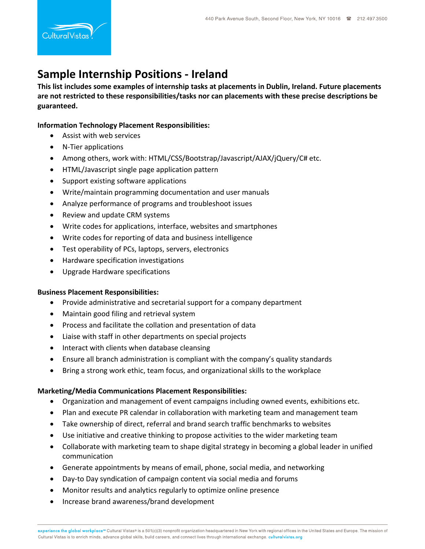# **Sample Internship Positions ‐ Ireland**

**This list includes some examples of internship tasks at placements in Dublin, Ireland. Future placements are not restricted to these responsibilities/tasks nor can placements with these precise descriptions be guaranteed.** 

## **Information Technology Placement Responsibilities:**

- Assist with web services
- N-Tier applications
- Among others, work with: HTML/CSS/Bootstrap/Javascript/AJAX/jQuery/C# etc.
- HTML/Javascript single page application pattern
- Support existing software applications
- Write/maintain programming documentation and user manuals
- Analyze performance of programs and troubleshoot issues
- Review and update CRM systems
- Write codes for applications, interface, websites and smartphones
- Write codes for reporting of data and business intelligence
- Test operability of PCs, laptops, servers, electronics
- **•** Hardware specification investigations
- Upgrade Hardware specifications

## **Business Placement Responsibilities:**

- Provide administrative and secretarial support for a company department
- Maintain good filing and retrieval system
- Process and facilitate the collation and presentation of data
- Liaise with staff in other departments on special projects
- Interact with clients when database cleansing
- Ensure all branch administration is compliant with the company's quality standards
- Bring a strong work ethic, team focus, and organizational skills to the workplace

## **Marketing/Media Communications Placement Responsibilities:**

- Organization and management of event campaigns including owned events, exhibitions etc.
- Plan and execute PR calendar in collaboration with marketing team and management team
- Take ownership of direct, referral and brand search traffic benchmarks to websites
- Use initiative and creative thinking to propose activities to the wider marketing team
- Collaborate with marketing team to shape digital strategy in becoming a global leader in unified communication
- Generate appointments by means of email, phone, social media, and networking
- Day-to Day syndication of campaign content via social media and forums
- Monitor results and analytics regularly to optimize online presence
- Increase brand awareness/brand development